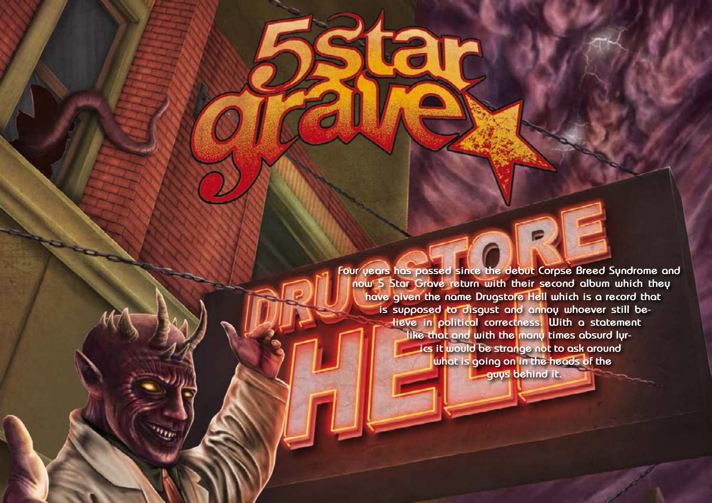Hallowed PDF-article Design by Daniel Källmalm **Four years has passed since the debut Corpse Breed Syndrome and now 5 Star Grave return with their second album which they have given the name Drugstore Hell which is a record that is supposed to disgust and annoy whoever still believe in political correctness. With a statement like that and with the many times absurd lyrics it would be strange not to ask around what is going on in the heads of the guys behind it.**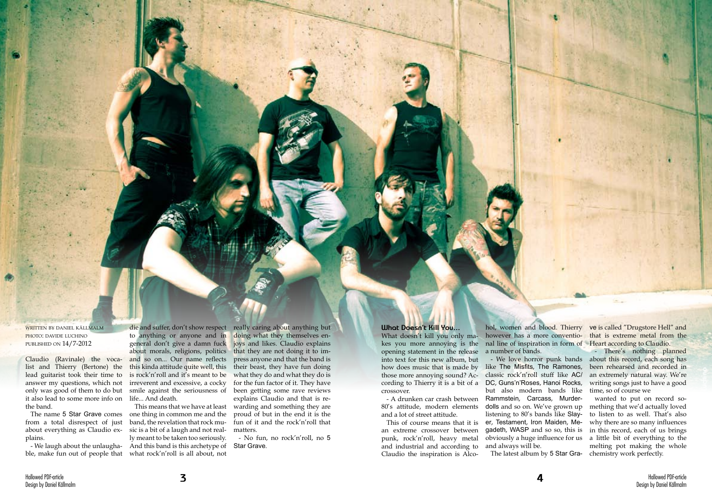written by daniel källmalm photo: davide luchino published on 14/7-2012

Claudio (Ravinale) the vocalist and Thierry (Bertone) the lead guitarist took their time to answer my questions, which not only was good of them to do but it also lead to some more info on life... And death. the band.

The name 5 Star Grave comes from a total disrespect of just about everything as Claudio explains.

to anything or anyone and in general don't give a damn fuck about morals, religions, politics and so on... Our name reflects this kinda attitude quite well, this is rock'n'roll and it's meant to be irreverent and excessive, a cocky smile against the seriousness of

- We laugh about the unlaugha-And this band is this archetype of ble, make fun out of people that what rock'n'roll is all about, not This means that we have at least one thing in common me and the band, the revelation that rock music is a bit of a laugh and not really meant to be taken too seriously.

die and suffer, don't show respect really caring about anything but doing what they themselves enjoys and likes. Claudio explains that they are not doing it to impress anyone and that the band is their beast, they have fun doing what they do and what they do is for the fun factor of it. They have been getting some rave reviews explains Claudio and that is rewarding and something they are proud of but in the end it is the fun of it and the rock'n'roll that matters.

- A drunken car crash between Rammstein, Carcass, Murderclassic rock'n'roll stuff like AC/ but also modern bands like dolls and so on. We've grown up listening to 80's bands like Slayer, Testament, Iron Maiden, Megadeth, WASP and so so, this is obviously a huge influence for us and always will be. The latest album by 5 Star Gra- chemistry work perfectly.

hol, women and blood. Thierry ve is called "Drugstore Hell" and however has a more conventional line of inspiration in form of Heart according to Claudio. a number of bands.

- We love horror punk bands about this record, each song has - There's nothing planned been rehearsed and recorded in an extremely natural way. We're writing songs just to have a good time, so of course we

- No fun, no rock'n'roll, no 5 Star Grave.

## **What Doesn't Kill You...**

What doesn't kill you only makes you more annoying is the opening statement in the release into text for this new album, but how does music that is made by like The Misfits, The Ramones, those more annoying sound? According to Thierry it is a bit of a DC, Guns'n'Roses, Hanoi Rocks, crossover.

80's attitude, modern elements and a lot of street attitude.

This of course means that it is an extreme crossover between punk, rock'n'roll, heavy metal and industrial and according to Claudio the inspiration is Alcothat is extreme metal from the

wanted to put on record something that we'd actually loved to listen to as well. That's also why there are so many influences in this record, each of us brings a little bit of everything to the melting pot making the whole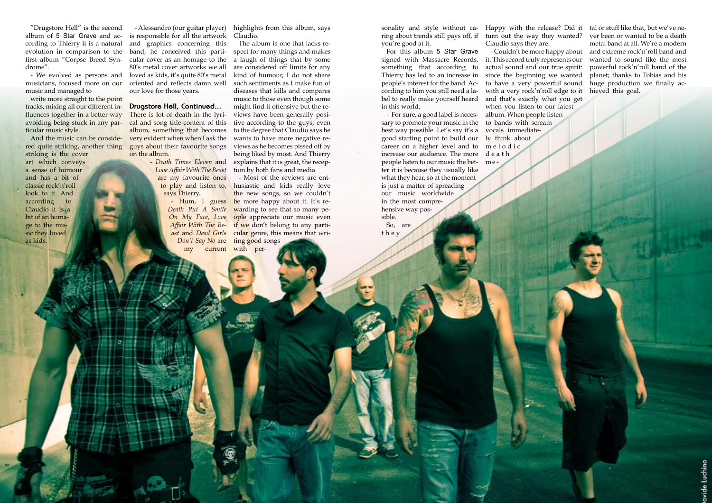Hallowed PDF-article Design by Daniel Källmalm

"Drugstore Hell" is the second album of 5 Star Grave and according to Thierry it is a natural evolution in comparison to the first album "Corpse Breed Syndrome".

- We evolved as persons and musicians, focused more on our music and managed to

write more straight to the point tracks, mixing all our different influences together in a better way avoiding being stuck in any particular music style.

And the music can be conside- very evident when when I ask the There is lot of death in the lyrical and song title content of this album, something that becomes guys about their favourite songs on the album.

red quite striking, another thing striking is the cover art which conveys a sense of humour and has a bit of classic rock'n'roll look to it. And according to Claudio it is a bit of an homage to the music they loved as kids.

- Alessandro (our guitar player) highlights from this album, says is responsible for all the artwork and graphics concerning this band, he conceived this particular cover as an homage to the 80's metal cover artworks we all loved as kids, it's quite 80's metal oriented and reflects damn well our love for those years.

## **Drugstore Hell, Continued...**

- Hum, I guess *Death Put A Smile On My Face*, *Love Affair With The Beast* and *Dead Girls Don't Say No* are my current with per-

- *Death Times Eleven* and *Love Affair With The Beast* are my favourite ones to play and listen to, says Thierry.

Claudio.

The album is one that lacks respect for many things and makes a laugh of things that by some are considered off limits for any kind of humour, I do not share such sentiments as I make fun of diseases that kills and compares music to those even though some might find it offensive but the reviews have been generally positive according to the guys, even to the degree that Claudio says he wants to have more negative reviews as he becomes pissed off by being liked by most. And Thierry explains that it is great, the reception by both fans and media.

- Most of the reviews are enthusiastic and kids really love the new songs, so we couldn't be more happy about it. It's rewarding to see that so many people appreciate our music even if we don't belong to any particular genre, this means that writing good songs

sonality and style without ca-Happy with the release? Did it ring about trends still pays off, if turn out the way they wanted? you're good at it.

For this album 5 Star Grave signed with Massacre Records, something that according to Thierry has led to an increase in people's interest for the band. According to him you still need a label to really make yourself heard in this world.

- For sure, a good label is necessary to promote your music in the best way possible. Let's say it's a good starting point to build our ly think about career on a higher level and to m e l o d i c increase our audience. The more d e a t h people listen to our music the bet-m e ter it is because they usually like what they hear, so at the moment is just a matter of spreading our music worldwide in the most comprehensive way possible.

So, are t h e y

Claudio says they are.

- Couldn't be more happy about it. This record truly represents our actual sound and our true spirit: since the beginning we wanted to have a very powerful sound with a very rock'n'roll edge to it and that's exactly what you get when you listen to our latest album. When people listen to bands with scream vocals immediate-

tal or stuff like that, but we've never been or wanted to be a death metal band at all. We're a modern and extreme rock'n'roll band and wanted to sound like the most powerful rock'n'roll band of the planet; thanks to Tobias and his huge production we finally achieved this goal.